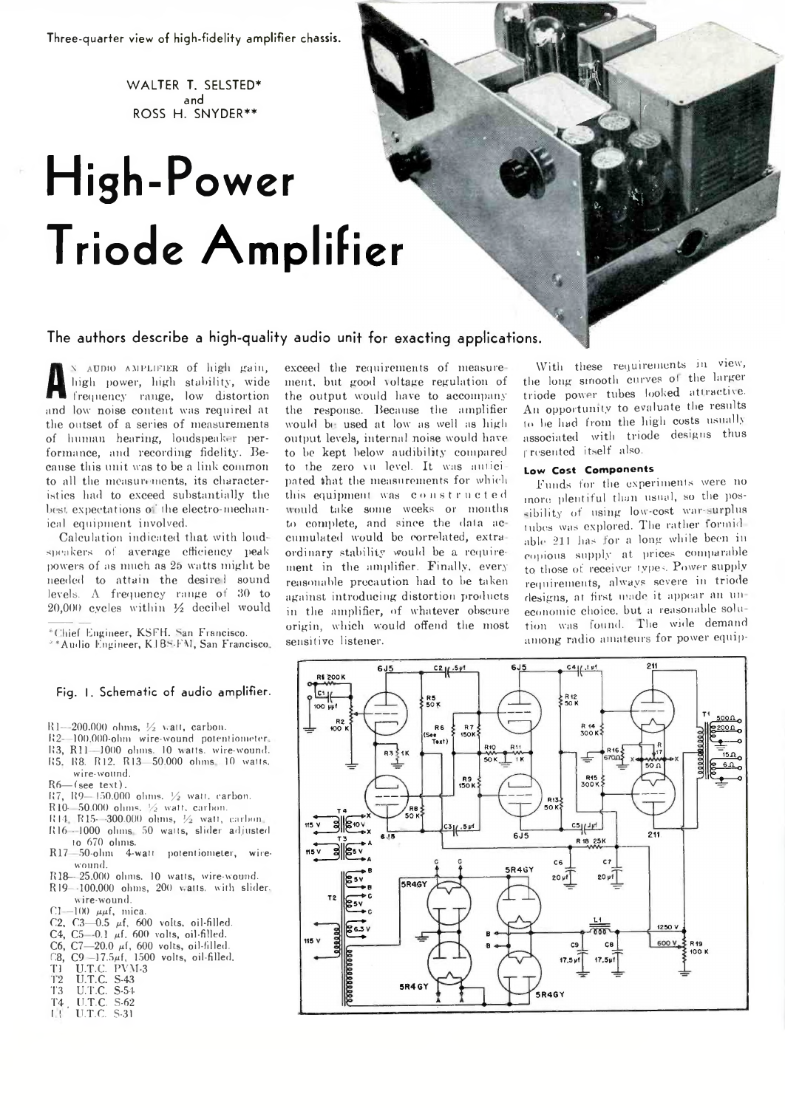**Three-quarter view of high-fidelity amplifier chassis.**

**W ALTER T. SELSTED\* and ROSS H. SNYDER\*\***

# **High-Power Triode Amplif**

## **The authors describe a high-quality audio un**

**A** high power, high stability, wide<br>frequency range, low distortion \ audio amplifier of high gain, high power, high stability, wide and low noise content was required at the outset of a series of measurements of human hearing, loudspeaker performance, and recording fidelity. Because this unit was to be a link common to all the measurements, its characteristics had to exceed substantially the best expectations of the electro-mechanical equipment involved.

Calculation indicated that with loudspeakers of average efficiency peak powers of as much as 25 watts might be needed to attain the desire! sound levels.  $\Lambda$  frequency range of  $30$  to 20,000 cycles within *Yz* decibel would

- \*Chief Engineer, KSFH. San Francisco.
- \*\* Audio Engineer, K.1 B.S.FM, San Francisco.

### **Fig. I. Schematic of audio amplifier.**

- R1—200.000 ohms, *Yz* v.att, carbon.
- 112- 100,000-ohm wire-wound potentiometer
- R3, R11-1000 ohms. 10 watts, wire-wound.
- 1(5. R8. R12. R13 50.000 ohms 10 walls.
- wire-wound.
- $R6$  (see text).
- 117, 119—JSQ.OOO ohms. *Yz* wall, carbon.
- R10- 50.000 ohms. *Vz* wait, carbon.
- R 14 R15- -300.000 ohms, *Vz* watt, carbon 1116 - 1000 ohms 50 walls, slider adjusted
- to 670 ohms.
- R17 50-ohm 4-walt potentiometer, wirewound.
- R18— 25.000 ohms. 10 watts, wire-wound.
- R19--100.000 ohms, 200 v atts. with slider. *\i* ire-wound.
- $C$ I —100  $\mu\mu$ f, mica.
- C2, C3-0.5  $\mu$ f, 600 volts, oil-filled.
- C4,  $C5 0.1$   $\mu$ f. 600 volts, oil-filled.
- C6,  $C7-20.0$   $\mu$ f, 600 volts, oil-filled.
- $C8$ ,  $C9 17.5\mu$ f, 1500 volts, oil-filled.
- 
- T1 U.T.C. PVM-3 12 U.T.C. S-43
- 13 U.T.C. S-54
- T4 U.T.C. S-62 I 1 ' U.T.C. S-31
- 

exceed the requirements of measure ment, but good voltage regulation of the output would have to accompany the response. Because the amplifier would be used at low as well as high output levels, internal noise would have to be kept below audibility compared to the zero vu level. It was anticipated that the measurements for which this equipment was constructed would take some weeks or months to complete, and since the data ac cumulated would be correlated, extra ordinary stability would be a requirement in the amplifier. Finally, every reasonable precaution had to he taken against introducing distortion products in the amplifier, of whatever obscure origin, which would offend the most sensitive listener.

With these requirements in view, the long smooth curves ol the larger triode power tubes looked attractive. An opportunity to evaluate the results to he had from the high costs usually associated with triode designs thus f resented itself also.

#### **Low Cost Com ponents**

Funds for the experiments were no more plentiful than usual, so the possibility of using low-cost war-surplus tubes was explored. The rather formidable 211 lias for a long while been in copious supply at prices comparable to those of receiver types. Power supply requirements, always severe in triode designs, at first made it appear an un economic choice, but a reasonable solu tion was found. The wide demand among radio amateurs for power equip-

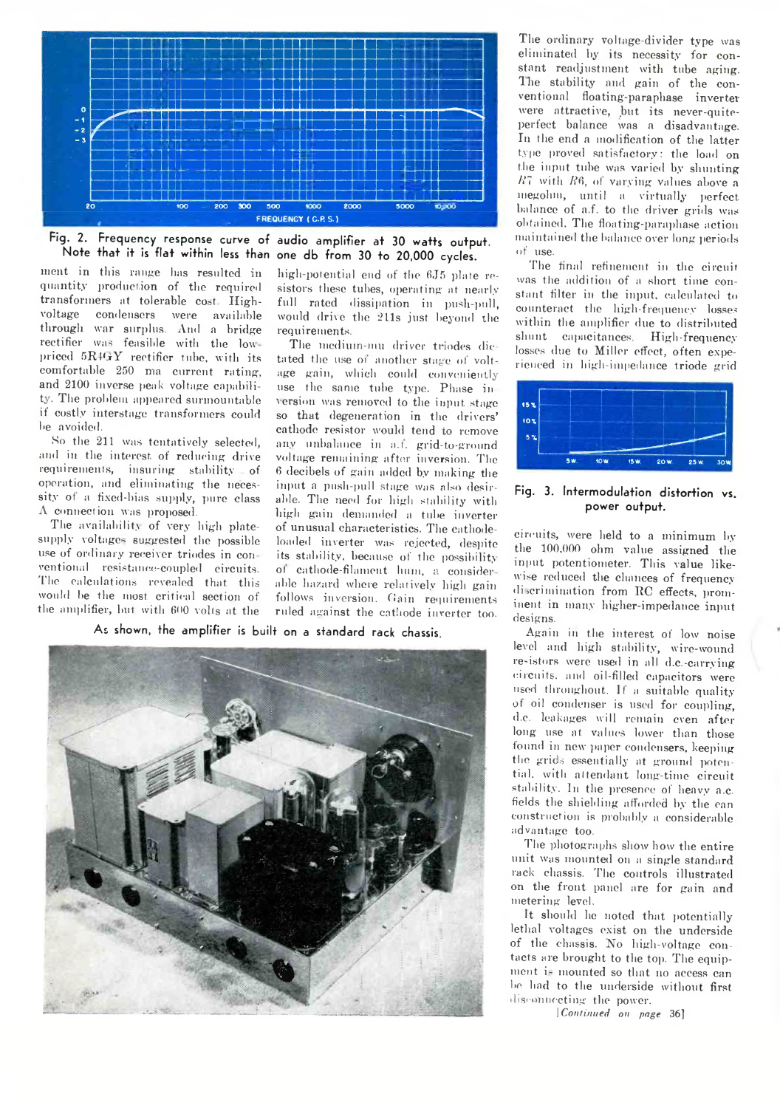

**Fig. 2. Frequency response curve of audio amplifier at 30 watts output, Note that it is flat within less than one db from 30 to 20,000 cycles.**

ment in this range has resulted in quantity production of the required transformers at tolerable cost. Ilighvoltage condensers were available through war surplus. And a bridge rectifier was feasible with the low priced 5R4GY rectifier tube, with its comfortable 230 ma current rating, and 2100 inverse peak voltage capability. The problem appeared surmountable if costly interstage transformers could be avoided.

So the 211 was tentatively selected, and in the interest of reducing drive requirements, insuring stability of operation, and eliminating the necessity of a fixed-bias supply, pure class A connection was proposed.

The availability of very high platesupply voltage- suggested the possible use of ordinary receiver triodes in con ventional resistance-coupled circuits. The calculations revealed that this would be the most critical section of the amplifier, but with 600 volts at the

high-potential end of the 6J5 plate resistors these tubes, operating at nearly full rated dissipation in push-pull, would drive the 211s just beyond the requirements.

The medium-mu driver triodes dictated the use of another stage of voltage gain, which could conveniently use the same tube type. Phase in version was removed to the input stage so that degeneration in the drivers' cathode resistor would tend to remove any unbalance in a.f. grid-to-ground voltage remaining after inversion. The 6 decibels of gain added by making the input a push-pull stage was also desirable. The need for high stability with high gain demanded a tube inverter of unusual characteristics. The cathodeloaded inverter was rejected, despite its stability, because of the possibility of cathode-filament bum, a consider able hazard where relatively high gain follows inversion. Gain requirements ruled against the cathode inverter too.

As **shown, the amplifier is bui It on a standard rack chassis.**



The ordinary voltage-divider type was eliminated by its necessity for constant readjustment with tube aging. The stability and gain of the conventional floating-paraphase inverter were attractive, but its never-quiteperfect balance was a disadvantage. In the end a modification of the latter type proved satisfactory: the load on the input tube was varied by shunting  $R_1$  with  $R_2$ , of varying values above a megohm, until a virtually perfect balance of a.f. to the driver grids was obtained. The floating-paraphase action maintained the balance over long periods of use.

The final refinement in the circuit was the addition of a short time constant filter in the input, calculated to counteract the high-frequency losses within the amplifier due to distributed shunt capacitances. High-frequency losses due to Miller effect, often experienced in high-impedance triode grid



**Fig. 3. Intermodulation distortion vs. power output.**

circuits, were held to a minimum by the 100,000 ohm value assigned the input potentiometer. This value likewise reduced the chances of frequency discrimination from RC effects, prominent in many higher-impedance input designs.

Again in the interest of low noise level and high stability, wire-wound re-istors were used in all d.c.-carrying circuits, and oil-filled capacitors were used throughout. If a suitable quality ot oil condenser is used for coupling, d.c. leakages will remain even after long use at values lower than those found in new paper condensers, keeping the grids essentially at ground potential. with attendant long-time circuit stability. In the presence of heavy a.c. fields the shielding afforded by the can construction is probably a considerable advantage too.

The photographs show how the entire unit was mounted on a single standard rack chassis. The controls illustrated on the front panel are for gain and metering leveL

It should he noted that potentially lethal voltages exist on the underside of the chassis. Ho high-voltage con tacts are brought to the top. The equipment i- mounted so that no access can he had to the underside without first disconnecting the power.

| *Continued on page* 36]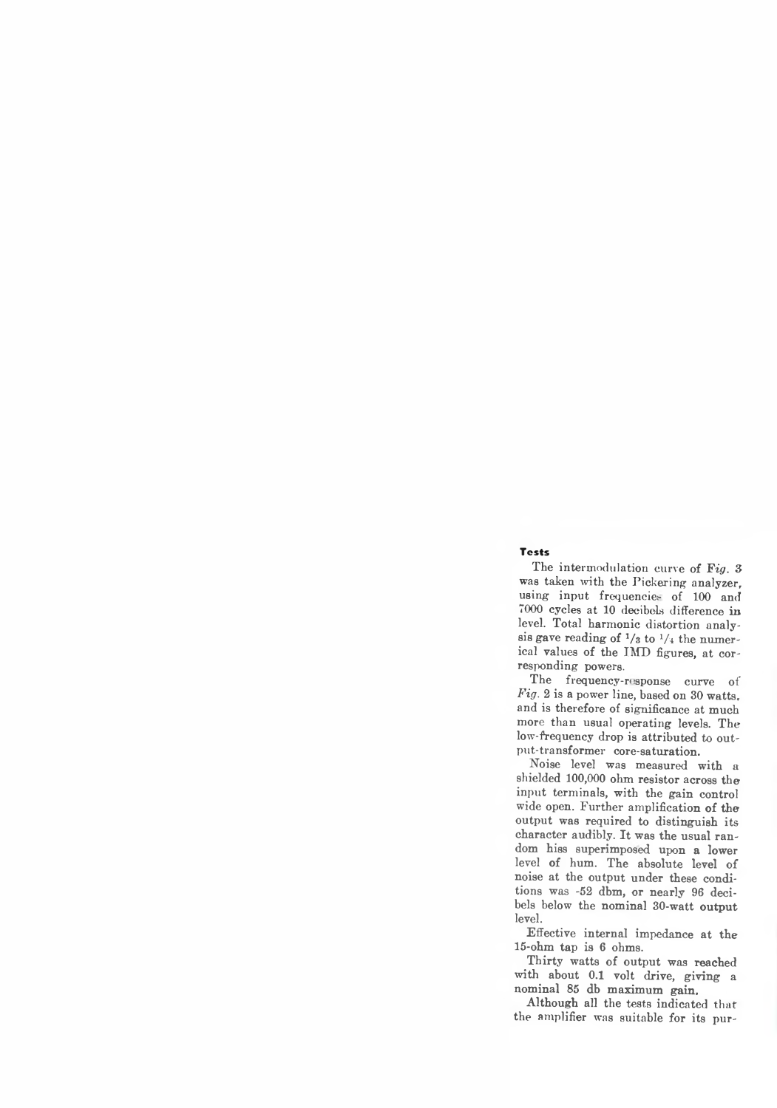#### **Tests**

The intermodulation curve of *Fig.* 3 was taken with the Pickering analyzer, using input frequencies- of 100 and 7000 cycles at 10 decibels difference in level. Total harmonic distortion analysis gave reading of  $\frac{1}{3}$  to  $\frac{1}{4}$  the numerical values of the IMD figures, at corresponding powers.

The frequency-response curve of *Fig.* 2 is a power line, based on 30 watts, and is therefore of significance at much more than usual operating levels. The low-frequency drop is attributed to output-transformer core-saturation.

Noise level was measured with a shielded 100,000 ohm resistor across the input terminals, with the gain control wide open. Further amplification of the output was required to distinguish its character audibly. It was the usual random hiss superimposed upon a lower level of hum. The absolute level of noise at the output under these conditions was -52 dbm, or nearly 96 decibels below the nominal 30-watt output level.

Effective internal impedance at the 15-ohm tap is 6 ohms.

Thirty watts of output was reached with about 0.1 volt drive, giving a nominal 85 db maximum gain.

Although all the tests indicated that the amplifier was suitable for its pur-